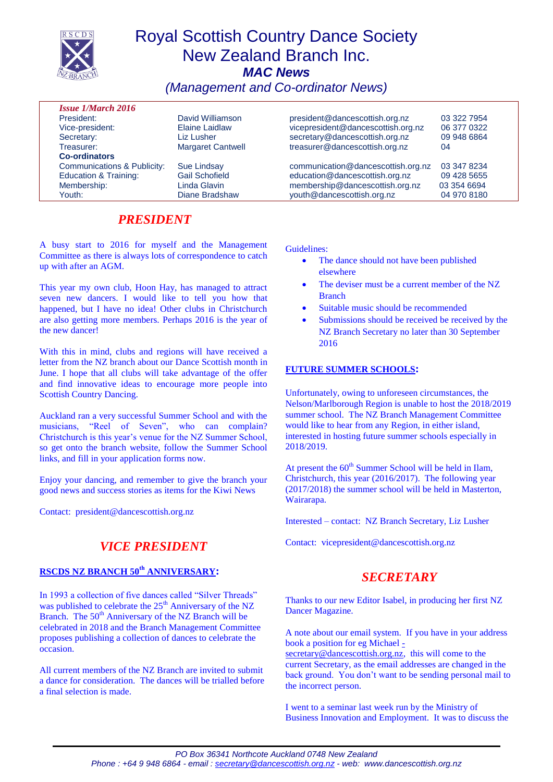

# Royal Scottish Country Dance Society New Zealand Branch Inc. *MAC News*

*(Management and Co-ordinator News)*

| <b>Issue 1/March 2016</b>        |                          |                                    |             |
|----------------------------------|--------------------------|------------------------------------|-------------|
| President:                       | David Williamson         | president@dancescottish.org.nz     | 03 322 7954 |
| Vice-president:                  | Elaine Laidlaw           | vicepresident@dancescottish.org.nz | 06 377 0322 |
| Secretary:                       | Liz Lusher               | secretary@dancescottish.org.nz     | 09 948 6864 |
| Treasurer:                       | <b>Margaret Cantwell</b> | treasurer@dancescottish.org.nz     | 04          |
| <b>Co-ordinators</b>             |                          |                                    |             |
| Communications & Publicity:      | <b>Sue Lindsay</b>       | communication@dancescottish.org.nz | 03 347 8234 |
| <b>Education &amp; Training:</b> | <b>Gail Schofield</b>    | education@dancescottish.org.nz     | 09 428 5655 |
| Membership:                      | Linda Glavin             | membership@dancescottish.org.nz    | 03 354 6694 |
| Youth:                           | Diane Bradshaw           | youth@dancescottish.org.nz         | 04 970 8180 |

## *PRESIDENT*

A busy start to 2016 for myself and the Management Committee as there is always lots of correspondence to catch up with after an AGM.

This year my own club, Hoon Hay, has managed to attract seven new dancers. I would like to tell you how that happened, but I have no idea! Other clubs in Christchurch are also getting more members. Perhaps 2016 is the year of the new dancer!

With this in mind, clubs and regions will have received a letter from the NZ branch about our Dance Scottish month in June. I hope that all clubs will take advantage of the offer and find innovative ideas to encourage more people into Scottish Country Dancing.

Auckland ran a very successful Summer School and with the musicians, "Reel of Seven", who can complain? Christchurch is this year's venue for the NZ Summer School, so get onto the branch website, follow the Summer School links, and fill in your application forms now.

Enjoy your dancing, and remember to give the branch your good news and success stories as items for the Kiwi News

Contact: president@dancescottish.org.nz

## *VICE PRESIDENT*

### **RSCDS NZ BRANCH 50th ANNIVERSARY:**

In 1993 a collection of five dances called "Silver Threads" was published to celebrate the 25<sup>th</sup> Anniversary of the NZ Branch. The 50<sup>th</sup> Anniversary of the NZ Branch will be celebrated in 2018 and the Branch Management Committee proposes publishing a collection of dances to celebrate the occasion.

All current members of the NZ Branch are invited to submit a dance for consideration. The dances will be trialled before a final selection is made.

Guidelines:

- The dance should not have been published elsewhere
- The deviser must be a current member of the NZ Branch
- Suitable music should be recommended
- Submissions should be received be received by the NZ Branch Secretary no later than 30 September 2016

### **FUTURE SUMMER SCHOOLS:**

Unfortunately, owing to unforeseen circumstances, the Nelson/Marlborough Region is unable to host the 2018/2019 summer school. The NZ Branch Management Committee would like to hear from any Region, in either island, interested in hosting future summer schools especially in 2018/2019.

At present the  $60<sup>th</sup>$  Summer School will be held in Ilam, Christchurch, this year (2016/2017). The following year (2017/2018) the summer school will be held in Masterton, Wairarapa.

Interested – contact: NZ Branch Secretary, Liz Lusher

Contact: vicepresident@dancescottish.org.nz

## *SECRETARY*

Thanks to our new Editor Isabel, in producing her first NZ Dancer Magazine.

A note about our email system. If you have in your address book a position for eg Michael [-](mailto:-secretary@dancescottish.org.nz)

[secretary@dancescottish.org.nz,](mailto:-secretary@dancescottish.org.nz) this will come to the current Secretary, as the email addresses are changed in the back ground. You don't want to be sending personal mail to the incorrect person.

I went to a seminar last week run by the Ministry of Business Innovation and Employment. It was to discuss the